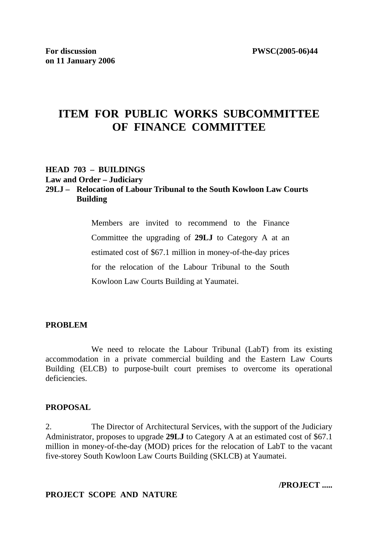# **ITEM FOR PUBLIC WORKS SUBCOMMITTEE OF FINANCE COMMITTEE**

#### **HEAD 703 – BUILDINGS Law and Order – Judiciary**

# **29LJ – Relocation of Labour Tribunal to the South Kowloon Law Courts Building**

Members are invited to recommend to the Finance Committee the upgrading of **29LJ** to Category A at an estimated cost of \$67.1 million in money-of-the-day prices for the relocation of the Labour Tribunal to the South Kowloon Law Courts Building at Yaumatei.

#### **PROBLEM**

 We need to relocate the Labour Tribunal (LabT) from its existing accommodation in a private commercial building and the Eastern Law Courts Building (ELCB) to purpose-built court premises to overcome its operational deficiencies.

#### **PROPOSAL**

2. The Director of Architectural Services, with the support of the Judiciary Administrator, proposes to upgrade **29LJ** to Category A at an estimated cost of \$67.1 million in money-of-the-day (MOD) prices for the relocation of LabT to the vacant five-storey South Kowloon Law Courts Building (SKLCB) at Yaumatei.

#### **PROJECT SCOPE AND NATURE**

**/PROJECT .....**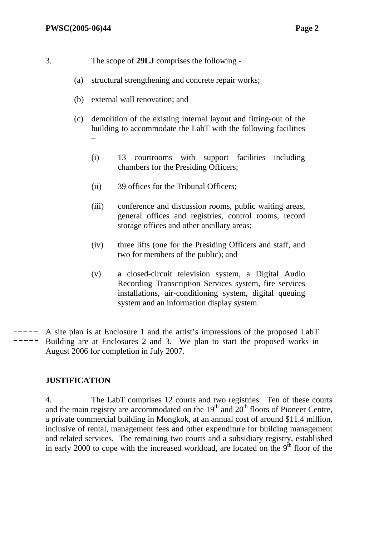- 3. The scope of **29LJ** comprises the following
	- (a) structural strengthening and concrete repair works;
	- (b) external wall renovation; and
	- (c) demolition of the existing internal layout and fitting-out of the building to accommodate the LabT with the following facilities  $\equiv$ 
		- (i) 13 courtrooms with support facilities including chambers for the Presiding Officers;
		- (ii) 39 offices for the Tribunal Officers;
		- (iii) conference and discussion rooms, public waiting areas, general offices and registries, control rooms, record storage offices and other ancillary areas;
		- (iv) three lifts (one for the Presiding Officers and staff, and two for members of the public); and
		- (v) a closed-circuit television system, a Digital Audio Recording Transcription Services system, fire services installations, air-conditioning system, digital queuing system and an information display system.
- A site plan is at Enclosure 1 and the artist's impressions of the proposed LabT Building are at Enclosures 2 and 3. We plan to start the proposed works in August 2006 for completion in July 2007.

#### **JUSTIFICATION**

4. The LabT comprises 12 courts and two registries. Ten of these courts and the main registry are accommodated on the  $19<sup>th</sup>$  and  $20<sup>th</sup>$  floors of Pioneer Centre, a private commercial building in Mongkok, at an annual cost of around \$11.4 million, inclusive of rental, management fees and other expenditure for building management and related services. The remaining two courts and a subsidiary registry, established in early 2000 to cope with the increased workload, are located on the  $9<sup>th</sup>$  floor of the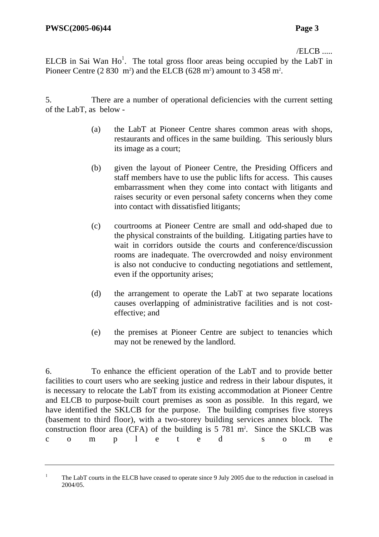$/ELCB$  .....

ELCB in Sai Wan  $Ho^1$ . The total gross floor areas being occupied by the LabT in Pioneer Centre  $(2830 \text{ m}^2)$  and the ELCB  $(628 \text{ m}^2)$  amount to 3 458 m<sup>2</sup>.

5. There are a number of operational deficiencies with the current setting of the LabT, as below -

- (a) the LabT at Pioneer Centre shares common areas with shops, restaurants and offices in the same building. This seriously blurs its image as a court;
- (b) given the layout of Pioneer Centre, the Presiding Officers and staff members have to use the public lifts for access. This causes embarrassment when they come into contact with litigants and raises security or even personal safety concerns when they come into contact with dissatisfied litigants;
- (c) courtrooms at Pioneer Centre are small and odd-shaped due to the physical constraints of the building. Litigating parties have to wait in corridors outside the courts and conference/discussion rooms are inadequate. The overcrowded and noisy environment is also not conducive to conducting negotiations and settlement, even if the opportunity arises;
- (d) the arrangement to operate the LabT at two separate locations causes overlapping of administrative facilities and is not costeffective; and
- (e) the premises at Pioneer Centre are subject to tenancies which may not be renewed by the landlord.

6. To enhance the efficient operation of the LabT and to provide better facilities to court users who are seeking justice and redress in their labour disputes, it is necessary to relocate the LabT from its existing accommodation at Pioneer Centre and ELCB to purpose-built court premises as soon as possible. In this regard, we have identified the SKLCB for the purpose. The building comprises five storeys (basement to third floor), with a two-storey building services annex block. The construction floor area (CFA) of the building is  $5\,781$  m<sup>2</sup>. Since the SKLCB was c o m p l e t e d s o m e

<sup>1</sup> The LabT courts in the ELCB have ceased to operate since 9 July 2005 due to the reduction in caseload in 2004/05.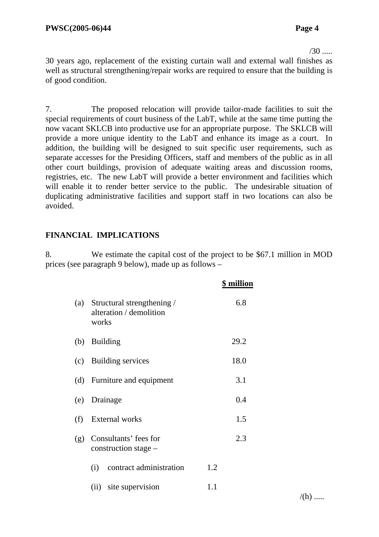$/30$  .....

30 years ago, replacement of the existing curtain wall and external wall finishes as well as structural strengthening/repair works are required to ensure that the building is of good condition.

7. The proposed relocation will provide tailor-made facilities to suit the special requirements of court business of the LabT, while at the same time putting the now vacant SKLCB into productive use for an appropriate purpose. The SKLCB will provide a more unique identity to the LabT and enhance its image as a court. In addition, the building will be designed to suit specific user requirements, such as separate accesses for the Presiding Officers, staff and members of the public as in all other court buildings, provision of adequate waiting areas and discussion rooms, registries, etc. The new LabT will provide a better environment and facilities which will enable it to render better service to the public. The undesirable situation of duplicating administrative facilities and support staff in two locations can also be avoided.

#### **FINANCIAL IMPLICATIONS**

8. We estimate the capital cost of the project to be \$67.1 million in MOD prices (see paragraph 9 below), made up as follows –

|     |                                                                    | <b>\$</b> million |
|-----|--------------------------------------------------------------------|-------------------|
|     | (a) Structural strengthening /<br>alteration / demolition<br>works | 6.8               |
| (b) | <b>Building</b>                                                    | 29.2              |
|     | (c) Building services                                              | 18.0              |
|     | (d) Furniture and equipment                                        | 3.1               |
| (e) | Drainage                                                           | 0.4               |
| (f) | <b>External works</b>                                              | 1.5               |
| (g) | Consultants' fees for<br>construction stage –                      | 2.3               |
|     | contract administration<br>(i)                                     | 1.2               |
|     | site supervision<br>(ii)                                           | 1.1               |

 $/(h)$  .....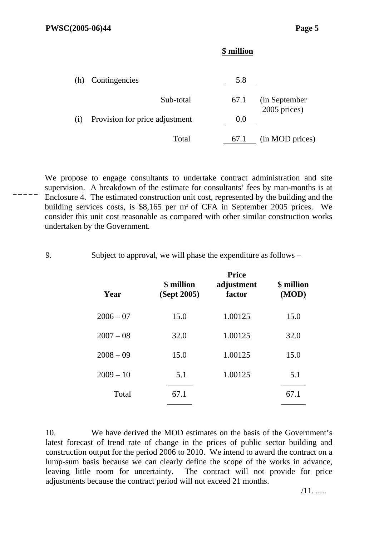#### **\$ million**

|     | (h) Contingencies              | 5.8  |                                |
|-----|--------------------------------|------|--------------------------------|
|     | Sub-total                      | 67.1 | (in September)<br>2005 prices) |
| (i) | Provision for price adjustment | 0.0  |                                |
|     | Total                          | 67.1 | (in MOD prices)                |

We propose to engage consultants to undertake contract administration and site supervision. A breakdown of the estimate for consultants' fees by man-months is at Enclosure 4. The estimated construction unit cost, represented by the building and the building services costs, is \$8,165 per m2 of CFA in September 2005 prices. We consider this unit cost reasonable as compared with other similar construction works undertaken by the Government.

9. Subject to approval, we will phase the expenditure as follows –

| Year        | <b>\$</b> million<br>(Sept 2005) | <b>Price</b><br>adjustment<br>factor | <b>\$</b> million<br>(MOD) |
|-------------|----------------------------------|--------------------------------------|----------------------------|
| $2006 - 07$ | 15.0                             | 1.00125                              | 15.0                       |
| $2007 - 08$ | 32.0                             | 1.00125                              | 32.0                       |
| $2008 - 09$ | 15.0                             | 1.00125                              | 15.0                       |
| $2009 - 10$ | 5.1                              | 1.00125                              | 5.1                        |
| Total       | 67.1                             |                                      | 67.1                       |
|             |                                  |                                      |                            |

10. We have derived the MOD estimates on the basis of the Government's latest forecast of trend rate of change in the prices of public sector building and construction output for the period 2006 to 2010. We intend to award the contract on a lump-sum basis because we can clearly define the scope of the works in advance, leaving little room for uncertainty. The contract will not provide for price adjustments because the contract period will not exceed 21 months.

/11. .....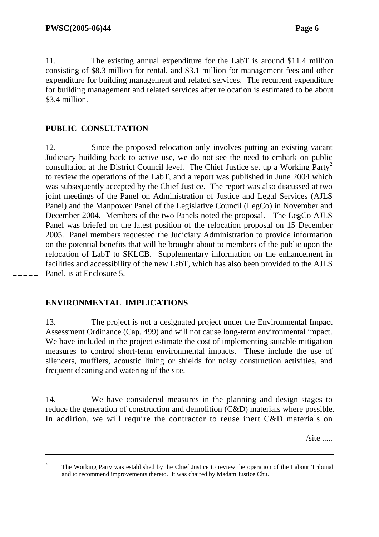11. The existing annual expenditure for the LabT is around \$11.4 million consisting of \$8.3 million for rental, and \$3.1 million for management fees and other expenditure for building management and related services. The recurrent expenditure for building management and related services after relocation is estimated to be about \$3.4 million.

#### **PUBLIC CONSULTATION**

12. Since the proposed relocation only involves putting an existing vacant Judiciary building back to active use, we do not see the need to embark on public consultation at the District Council level. The Chief Justice set up a Working Party<sup>2</sup> to review the operations of the LabT, and a report was published in June 2004 which was subsequently accepted by the Chief Justice. The report was also discussed at two joint meetings of the Panel on Administration of Justice and Legal Services (AJLS Panel) and the Manpower Panel of the Legislative Council (LegCo) in November and December 2004. Members of the two Panels noted the proposal. The LegCo AJLS Panel was briefed on the latest position of the relocation proposal on 15 December 2005. Panel members requested the Judiciary Administration to provide information on the potential benefits that will be brought about to members of the public upon the relocation of LabT to SKLCB. Supplementary information on the enhancement in facilities and accessibility of the new LabT, which has also been provided to the AJLS Panel, is at Enclosure 5.

#### **ENVIRONMENTAL IMPLICATIONS**

13. The project is not a designated project under the Environmental Impact Assessment Ordinance (Cap. 499) and will not cause long-term environmental impact. We have included in the project estimate the cost of implementing suitable mitigation measures to control short-term environmental impacts. These include the use of silencers, mufflers, acoustic lining or shields for noisy construction activities, and frequent cleaning and watering of the site.

14. We have considered measures in the planning and design stages to reduce the generation of construction and demolition (C&D) materials where possible. In addition, we will require the contractor to reuse inert C&D materials on

 $\sqrt{\text{site}}$  .....

<sup>2</sup> The Working Party was established by the Chief Justice to review the operation of the Labour Tribunal and to recommend improvements thereto. It was chaired by Madam Justice Chu.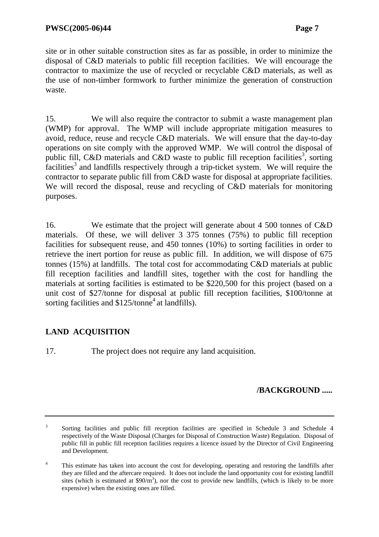site or in other suitable construction sites as far as possible, in order to minimize the disposal of C&D materials to public fill reception facilities. We will encourage the contractor to maximize the use of recycled or recyclable C&D materials, as well as the use of non-timber formwork to further minimize the generation of construction waste.

15. We will also require the contractor to submit a waste management plan (WMP) for approval. The WMP will include appropriate mitigation measures to avoid, reduce, reuse and recycle C&D materials. We will ensure that the day-to-day operations on site comply with the approved WMP. We will control the disposal of public fill, C&D materials and C&D waste to public fill reception facilities<sup>3</sup>, sorting  $\hat{f}$  acilities<sup>3</sup> and landfills respectively through a trip-ticket system. We will require the contractor to separate public fill from C&D waste for disposal at appropriate facilities. We will record the disposal, reuse and recycling of C&D materials for monitoring purposes.

16. We estimate that the project will generate about 4 500 tonnes of C&D materials. Of these, we will deliver 3 375 tonnes (75%) to public fill reception facilities for subsequent reuse, and 450 tonnes (10%) to sorting facilities in order to retrieve the inert portion for reuse as public fill. In addition, we will dispose of 675 tonnes (15%) at landfills. The total cost for accommodating C&D materials at public fill reception facilities and landfill sites, together with the cost for handling the materials at sorting facilities is estimated to be \$220,500 for this project (based on a unit cost of \$27/tonne for disposal at public fill reception facilities, \$100/tonne at sorting facilities and  $$125/tonne<sup>4</sup>$  at landfills).

# **LAND ACQUISITION**

17. The project does not require any land acquisition.

# **/BACKGROUND .....**

<sup>3</sup> Sorting facilities and public fill reception facilities are specified in Schedule 3 and Schedule 4 respectively of the Waste Disposal (Charges for Disposal of Construction Waste) Regulation. Disposal of public fill in public fill reception facilities requires a licence issued by the Director of Civil Engineering and Development.

<sup>4</sup> This estimate has taken into account the cost for developing, operating and restoring the landfills after they are filled and the aftercare required. It does not include the land opportunity cost for existing landfill sites (which is estimated at  $$90/m^3$ ), nor the cost to provide new landfills, (which is likely to be more expensive) when the existing ones are filled.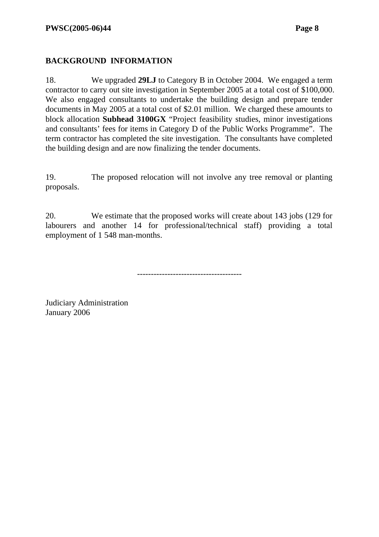#### **BACKGROUND INFORMATION**

18. We upgraded **29LJ** to Category B in October 2004. We engaged a term contractor to carry out site investigation in September 2005 at a total cost of \$100,000. We also engaged consultants to undertake the building design and prepare tender documents in May 2005 at a total cost of \$2.01 million. We charged these amounts to block allocation **Subhead 3100GX** "Project feasibility studies, minor investigations and consultants' fees for items in Category D of the Public Works Programme". The term contractor has completed the site investigation. The consultants have completed the building design and are now finalizing the tender documents.

19. The proposed relocation will not involve any tree removal or planting proposals.

20. We estimate that the proposed works will create about 143 jobs (129 for labourers and another 14 for professional/technical staff) providing a total employment of 1 548 man-months.

--------------------------------------

Judiciary Administration January 2006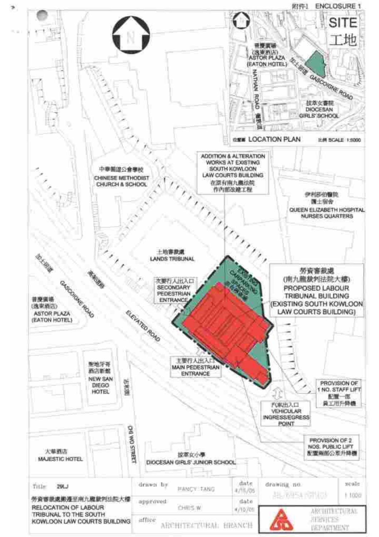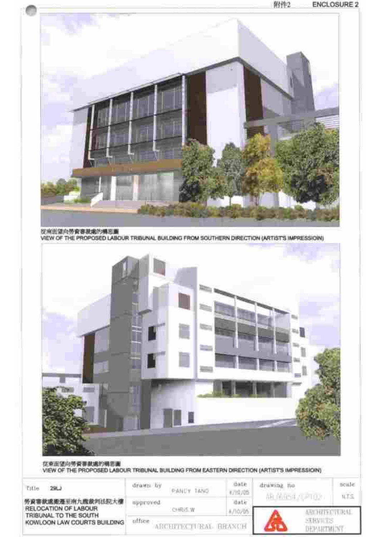



| Eitin<br>291.3                                       | drawn by                                          | 14,503               | <b>Bate</b><br>1/19/05 | drawing he<br>自由的证 | tion let |
|------------------------------------------------------|---------------------------------------------------|----------------------|------------------------|--------------------|----------|
| 勞資審款處邀遷至南九龍漱判法院大樓<br>RELOCATION OF LABOUR            | spproved<br><b>LE LES DE L'ANS COM</b><br>CHRIS W |                      | date                   |                    |          |
| TRIBUNAL TO THE SOUTH<br>KOWLOON LAW COURTS BUILDING | uffice                                            | ARCHITICTURAL BRANCH |                        |                    |          |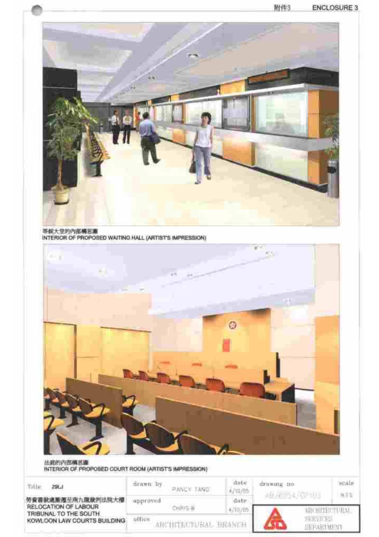

等航大空的内部構想源<br>INTERIOR OF PROPOSED WAITING HALL (ARTIST'S IMPRESSION)



**法避伤内部再活通**<br>INTERIOR OF PROPOSED COURT ROOM (ARTIST'S IMPRESSION)

| <b>Sitte</b><br>29KJ                                  | drawn hy                       | <b>PANCY TAND</b> | date<br>4/10/05 | drawing no | ıcalı<br>MFS |
|-------------------------------------------------------|--------------------------------|-------------------|-----------------|------------|--------------|
| 勞資賽說處搬運至南九龍祿判法院大權<br>RELOCATION OF LABOUR             | approved<br>Turity S. W.       |                   | date            |            |              |
| TRIBUNAL TO THE SOUTH.<br>KOWLOON LAW COURTS BUILDING | office<br>ARCHITECTURAL BRANCH |                   |                 |            |              |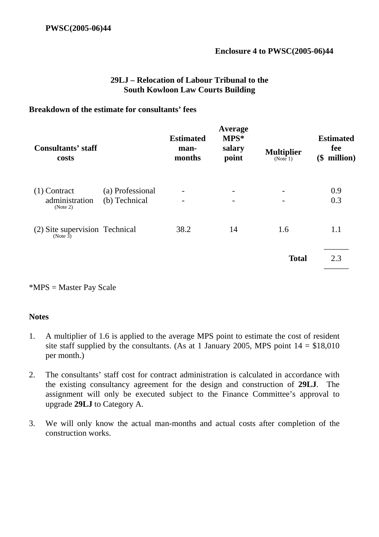#### **29LJ – Relocation of Labour Tribunal to the South Kowloon Law Courts Building**

#### **Breakdown of the estimate for consultants' fees**

| <b>Consultants' staff</b><br>costs                  |                                   | <b>Estimated</b><br>man-<br>months | Average<br>MPS*<br>salary<br>point                   | <b>Multiplier</b><br>(Note 1) | <b>Estimated</b><br>fee<br>million)<br>(\$ |
|-----------------------------------------------------|-----------------------------------|------------------------------------|------------------------------------------------------|-------------------------------|--------------------------------------------|
| $(1)$ Contract<br>administration<br>(Note 2)        | (a) Professional<br>(b) Technical |                                    | $\overline{\phantom{a}}$<br>$\overline{\phantom{a}}$ |                               | 0.9<br>0.3                                 |
| (2) Site supervision Technical<br>(Note $\bar{3}$ ) |                                   | 38.2                               | 14                                                   | 1.6                           | 1.1                                        |
|                                                     |                                   |                                    |                                                      | <b>Total</b>                  | 2.3                                        |

\*MPS = Master Pay Scale

#### **Notes**

- 1. A multiplier of 1.6 is applied to the average MPS point to estimate the cost of resident site staff supplied by the consultants. (As at 1 January 2005, MPS point  $14 = $18,010$ per month.)
- 2. The consultants' staff cost for contract administration is calculated in accordance with the existing consultancy agreement for the design and construction of **29LJ**. The assignment will only be executed subject to the Finance Committee's approval to upgrade **29LJ** to Category A.
- 3. We will only know the actual man-months and actual costs after completion of the construction works.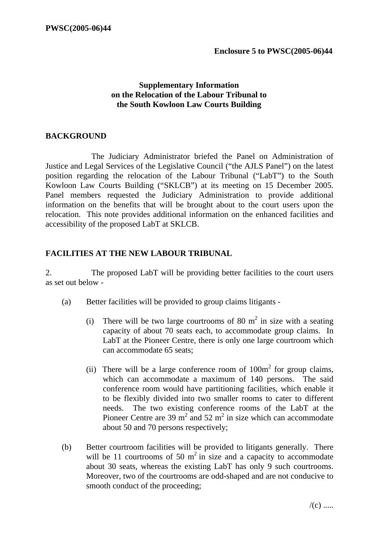#### **Supplementary Information on the Relocation of the Labour Tribunal to the South Kowloon Law Courts Building**

#### **BACKGROUND**

 The Judiciary Administrator briefed the Panel on Administration of Justice and Legal Services of the Legislative Council ("the AJLS Panel") on the latest position regarding the relocation of the Labour Tribunal ("LabT") to the South Kowloon Law Courts Building ("SKLCB") at its meeting on 15 December 2005. Panel members requested the Judiciary Administration to provide additional information on the benefits that will be brought about to the court users upon the relocation. This note provides additional information on the enhanced facilities and accessibility of the proposed LabT at SKLCB.

#### **FACILITIES AT THE NEW LABOUR TRIBUNAL**

2. The proposed LabT will be providing better facilities to the court users as set out below -

- (a) Better facilities will be provided to group claims litigants
	- (i) There will be two large courtrooms of 80  $m<sup>2</sup>$  in size with a seating capacity of about 70 seats each, to accommodate group claims. In LabT at the Pioneer Centre, there is only one large courtroom which can accommodate 65 seats;
	- (ii) There will be a large conference room of  $100m^2$  for group claims, which can accommodate a maximum of 140 persons. The said conference room would have partitioning facilities, which enable it to be flexibly divided into two smaller rooms to cater to different needs. The two existing conference rooms of the LabT at the Pioneer Centre are 39  $m^2$  and 52  $m^2$  in size which can accommodate about 50 and 70 persons respectively;
- (b) Better courtroom facilities will be provided to litigants generally. There will be 11 courtrooms of 50  $m<sup>2</sup>$  in size and a capacity to accommodate about 30 seats, whereas the existing LabT has only 9 such courtrooms. Moreover, two of the courtrooms are odd-shaped and are not conducive to smooth conduct of the proceeding;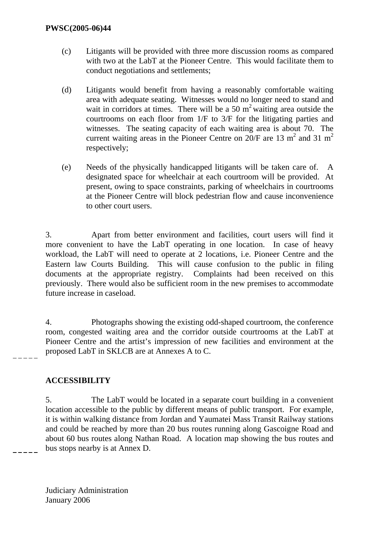- (c) Litigants will be provided with three more discussion rooms as compared with two at the LabT at the Pioneer Centre. This would facilitate them to conduct negotiations and settlements;
- (d) Litigants would benefit from having a reasonably comfortable waiting area with adequate seating. Witnesses would no longer need to stand and wait in corridors at times. There will be a 50  $m<sup>2</sup>$  waiting area outside the courtrooms on each floor from 1/F to 3/F for the litigating parties and witnesses. The seating capacity of each waiting area is about 70. The current waiting areas in the Pioneer Centre on  $20/F$  are 13 m<sup>2</sup> and 31 m<sup>2</sup> respectively;
- (e) Needs of the physically handicapped litigants will be taken care of. A designated space for wheelchair at each courtroom will be provided. At present, owing to space constraints, parking of wheelchairs in courtrooms at the Pioneer Centre will block pedestrian flow and cause inconvenience to other court users.

3. Apart from better environment and facilities, court users will find it more convenient to have the LabT operating in one location. In case of heavy workload, the LabT will need to operate at 2 locations, i.e. Pioneer Centre and the Eastern law Courts Building. This will cause confusion to the public in filing documents at the appropriate registry. Complaints had been received on this previously. There would also be sufficient room in the new premises to accommodate future increase in caseload.

4. Photographs showing the existing odd-shaped courtroom, the conference room, congested waiting area and the corridor outside courtrooms at the LabT at Pioneer Centre and the artist's impression of new facilities and environment at the proposed LabT in SKLCB are at Annexes A to C.

### **ACCESSIBILITY**

5. The LabT would be located in a separate court building in a convenient location accessible to the public by different means of public transport. For example, it is within walking distance from Jordan and Yaumatei Mass Transit Railway stations and could be reached by more than 20 bus routes running along Gascoigne Road and about 60 bus routes along Nathan Road. A location map showing the bus routes and bus stops nearby is at Annex D.

Judiciary Administration January 2006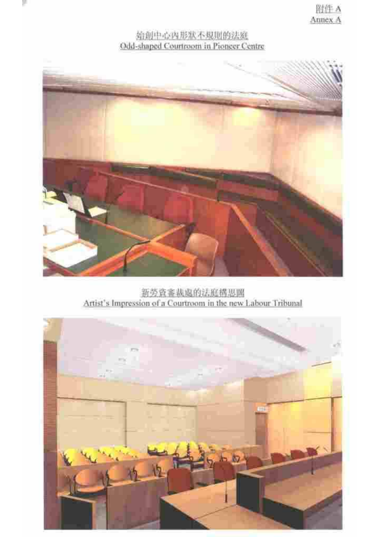# 始創中心內形狀不規則的法庭 Odd-shaped Courtroom in Pioneer Centre



新劳资審裁處的法庭構思圖 Artist's Impression of a Courtroom in the new Labour Tribunal

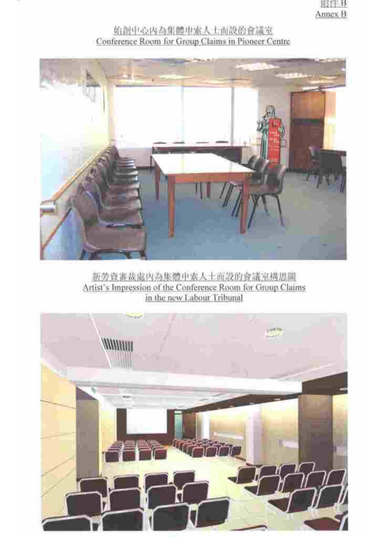# 始创中心内為集體中索人士而設的會議室



新劳资審裁處內為集體申索人士而設的會議室構思圖 Artist's Impression of the Conference Room for Group Claims in the new Labour Tribunal

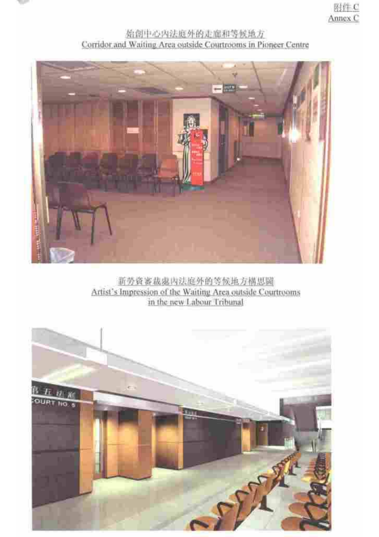

# 始创中心内法庭外的走廊和等候地方 Corridor and Waiting Area outside Courtrooms in Pioneer Centre



新劳资審裁處內法庭外的等候地方構思圖 Artist's Impression of the Waiting Area outside Courtrooms in the new Labour Tribunal